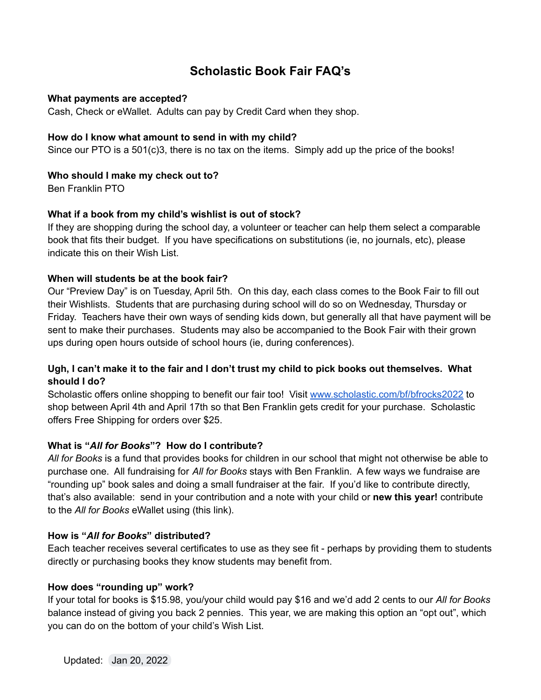# **Scholastic Book Fair FAQ's**

## **What payments are accepted?**

Cash, Check or eWallet. Adults can pay by Credit Card when they shop.

#### **How do I know what amount to send in with my child?**

Since our PTO is a 501(c)3, there is no tax on the items. Simply add up the price of the books!

## **Who should I make my check out to?**

Ben Franklin PTO

## **What if a book from my child's wishlist is out of stock?**

If they are shopping during the school day, a volunteer or teacher can help them select a comparable book that fits their budget. If you have specifications on substitutions (ie, no journals, etc), please indicate this on their Wish List.

#### **When will students be at the book fair?**

Our "Preview Day" is on Tuesday, April 5th. On this day, each class comes to the Book Fair to fill out their Wishlists. Students that are purchasing during school will do so on Wednesday, Thursday or Friday. Teachers have their own ways of sending kids down, but generally all that have payment will be sent to make their purchases. Students may also be accompanied to the Book Fair with their grown ups during open hours outside of school hours (ie, during conferences).

## Ugh, I can't make it to the fair and I don't trust my child to pick books out themselves. What **should I do?**

Scholastic offers online shopping to benefit our fair too! Visit [www.scholastic.com/bf/bfrocks2022](http://www.scholastic.com/bf/bfrocks2022) to shop between April 4th and April 17th so that Ben Franklin gets credit for your purchase. Scholastic offers Free Shipping for orders over \$25.

## **What is "***All for Books***"? How do I contribute?**

*All for Books* is a fund that provides books for children in our school that might not otherwise be able to purchase one. All fundraising for *All for Books* stays with Ben Franklin. A few ways we fundraise are "rounding up" book sales and doing a small fundraiser at the fair. If you'd like to contribute directly, that's also available: send in your contribution and a note with your child or **new this year!** contribute to the *All for Books* eWallet using (this link).

## **How is "***All for Books***" distributed?**

Each teacher receives several certificates to use as they see fit - perhaps by providing them to students directly or purchasing books they know students may benefit from.

## **How does "rounding up" work?**

If your total for books is \$15.98, you/your child would pay \$16 and we'd add 2 cents to our *All for Books* balance instead of giving you back 2 pennies. This year, we are making this option an "opt out", which you can do on the bottom of your child's Wish List.